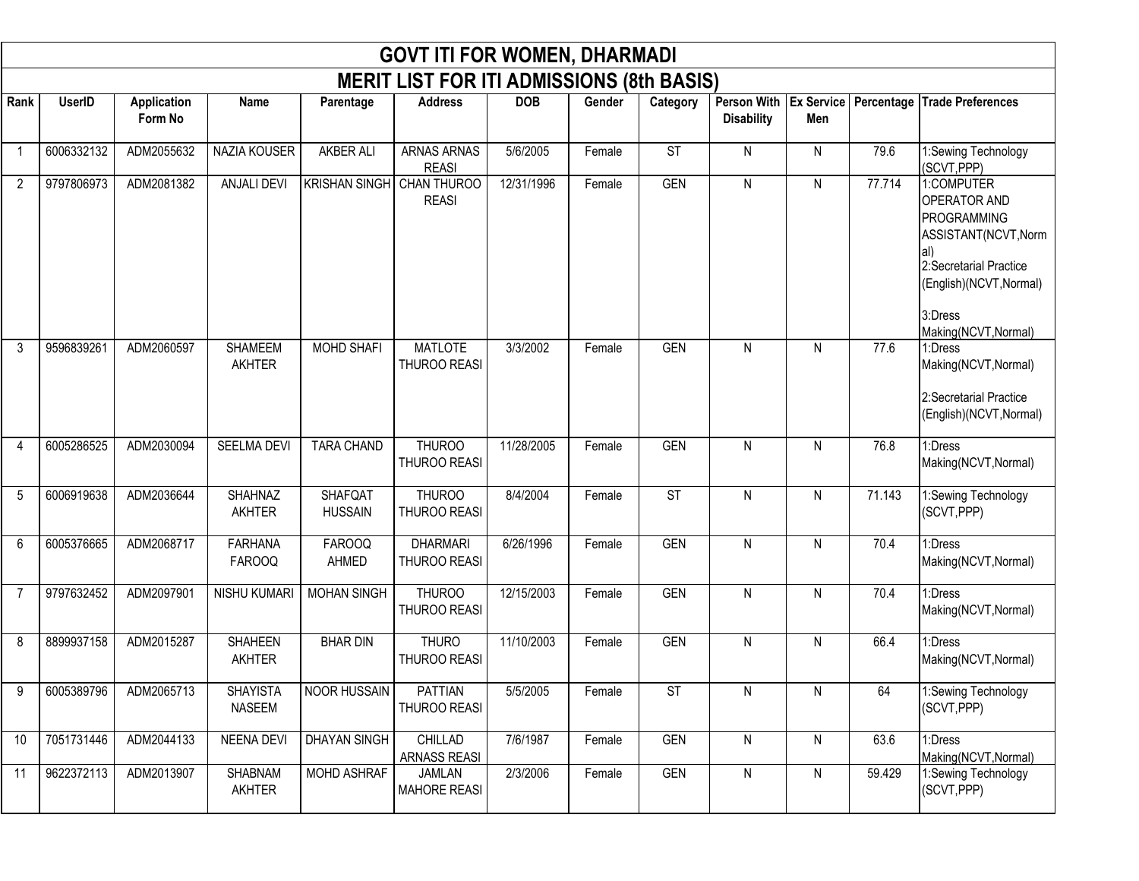|                |               |                               |                                  |                                  | <b>GOVT ITI FOR WOMEN, DHARMADI</b>              |            |        |                        |                   |           |        |                                                                                                                                                                         |
|----------------|---------------|-------------------------------|----------------------------------|----------------------------------|--------------------------------------------------|------------|--------|------------------------|-------------------|-----------|--------|-------------------------------------------------------------------------------------------------------------------------------------------------------------------------|
|                |               |                               |                                  |                                  | <b>MERIT LIST FOR ITI ADMISSIONS (8th BASIS)</b> |            |        |                        |                   |           |        |                                                                                                                                                                         |
| Rank           | <b>UserID</b> | <b>Application</b><br>Form No | Name                             | Parentage                        | <b>Address</b>                                   | <b>DOB</b> | Gender | Category               | <b>Disability</b> | Men       |        | Person With Ex Service   Percentage   Trade Preferences                                                                                                                 |
| -1             | 6006332132    | ADM2055632                    | NAZIA KOUSER                     | AKBER ALI                        | <b>ARNAS ARNAS</b><br><b>REASI</b>               | 5/6/2005   | Female | $\overline{\text{ST}}$ | $\mathsf{N}$      | N         | 79.6   | 1:Sewing Technology<br>(SCVT, PPP)                                                                                                                                      |
| $\overline{2}$ | 9797806973    | ADM2081382                    | <b>ANJALI DEVI</b>               | <b>KRISHAN SINGH</b>             | CHAN THUROO<br><b>REASI</b>                      | 12/31/1996 | Female | <b>GEN</b>             | N                 | N         | 77.714 | 1:COMPUTER<br>OPERATOR AND<br><b>PROGRAMMING</b><br>ASSISTANT(NCVT, Norm<br>al)<br>2:Secretarial Practice<br>(English)(NCVT, Normal)<br>3:Dress<br>Making(NCVT, Normal) |
| 3              | 9596839261    | ADM2060597                    | <b>SHAMEEM</b><br><b>AKHTER</b>  | <b>MOHD SHAFI</b>                | <b>MATLOTE</b><br>THUROO REASI                   | 3/3/2002   | Female | <b>GEN</b>             | N                 | N         | 77.6   | 1:Dress<br>Making(NCVT, Normal)<br>2:Secretarial Practice<br>(English)(NCVT, Normal)                                                                                    |
| 4              | 6005286525    | ADM2030094                    | <b>SEELMA DEVI</b>               | <b>TARA CHAND</b>                | <b>THUROO</b><br>THUROO REASI                    | 11/28/2005 | Female | <b>GEN</b>             | N                 | N         | 76.8   | 1:Dress<br>Making(NCVT, Normal)                                                                                                                                         |
| 5              | 6006919638    | ADM2036644                    | <b>SHAHNAZ</b><br><b>AKHTER</b>  | <b>SHAFQAT</b><br><b>HUSSAIN</b> | <b>THUROO</b><br>THUROO REASI                    | 8/4/2004   | Female | $\overline{\text{ST}}$ | N                 | N         | 71.143 | 1:Sewing Technology<br>(SCVT, PPP)                                                                                                                                      |
| 6              | 6005376665    | ADM2068717                    | <b>FARHANA</b><br><b>FAROOQ</b>  | <b>FAROOQ</b><br>AHMED           | <b>DHARMARI</b><br>THUROO REASI                  | 6/26/1996  | Female | <b>GEN</b>             | N                 | ${\sf N}$ | 70.4   | 1:Dress<br>Making(NCVT, Normal)                                                                                                                                         |
| 7              | 9797632452    | ADM2097901                    | NISHU KUMARI                     | <b>MOHAN SINGH</b>               | <b>THUROO</b><br>THUROO REASI                    | 12/15/2003 | Female | <b>GEN</b>             | N                 | N         | 70.4   | 1:Dress<br>Making(NCVT, Normal)                                                                                                                                         |
| 8              | 8899937158    | ADM2015287                    | <b>SHAHEEN</b><br><b>AKHTER</b>  | <b>BHAR DIN</b>                  | <b>THURO</b><br>THUROO REASI                     | 11/10/2003 | Female | <b>GEN</b>             | N                 | N         | 66.4   | 1:Dress<br>Making(NCVT, Normal)                                                                                                                                         |
| 9              | 6005389796    | ADM2065713                    | <b>SHAYISTA</b><br><b>NASEEM</b> | <b>NOOR HUSSAIN</b>              | <b>PATTIAN</b><br>THUROO REASI                   | 5/5/2005   | Female | <b>ST</b>              | N                 | N         | 64     | 1:Sewing Technology<br>(SCVT, PPP)                                                                                                                                      |
| 10             | 7051731446    | ADM2044133                    | <b>NEENA DEVI</b>                | <b>DHAYAN SINGH</b>              | CHILLAD<br>ARNASS REASI                          | 7/6/1987   | Female | <b>GEN</b>             | N                 | N         | 63.6   | 1:Dress<br>Making(NCVT, Normal)                                                                                                                                         |
| 11             | 9622372113    | ADM2013907                    | <b>SHABNAM</b><br><b>AKHTER</b>  | MOHD ASHRAF                      | JAMLAN<br><b>MAHORE REASI</b>                    | 2/3/2006   | Female | <b>GEN</b>             | N                 | N         | 59.429 | 1:Sewing Technology<br>(SCVT, PPP)                                                                                                                                      |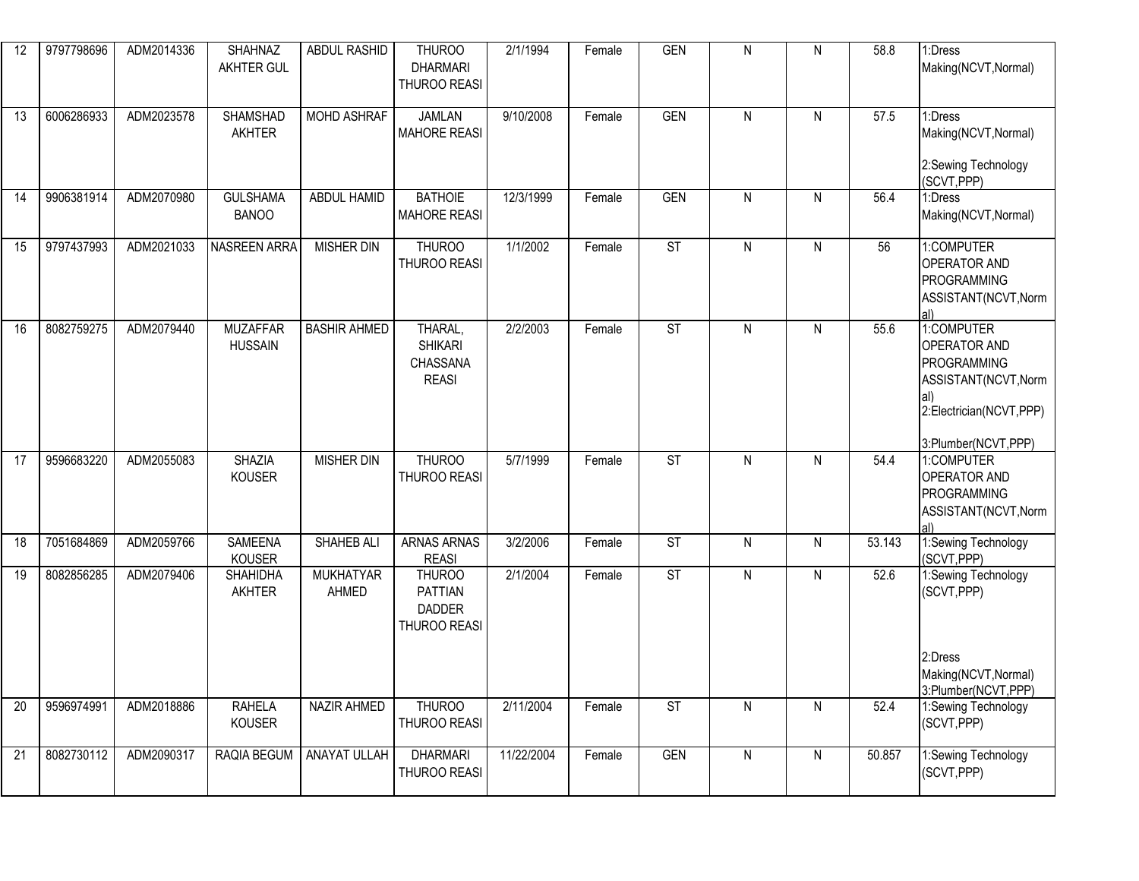| 12              | 9797798696 | ADM2014336 | <b>SHAHNAZ</b><br><b>AKHTER GUL</b> | <b>ABDUL RASHID</b>       | <b>THUROO</b><br><b>DHARMARI</b><br>THUROO REASI                 | 2/1/1994   | Female | <b>GEN</b>               | N            | N | 58.8   | 1:Dress<br>Making(NCVT, Normal)                                                                                            |
|-----------------|------------|------------|-------------------------------------|---------------------------|------------------------------------------------------------------|------------|--------|--------------------------|--------------|---|--------|----------------------------------------------------------------------------------------------------------------------------|
| 13              | 6006286933 | ADM2023578 | <b>SHAMSHAD</b><br><b>AKHTER</b>    | <b>MOHD ASHRAF</b>        | <b>JAMLAN</b><br><b>MAHORE REASI</b>                             | 9/10/2008  | Female | <b>GEN</b>               | $\mathsf{N}$ | N | 57.5   | 1:Dress<br>Making(NCVT, Normal)<br>2:Sewing Technology<br>(SCVT, PPP)                                                      |
| 14              | 9906381914 | ADM2070980 | <b>GULSHAMA</b><br><b>BANOO</b>     | ABDUL HAMID               | <b>BATHOIE</b><br><b>MAHORE REASI</b>                            | 12/3/1999  | Female | <b>GEN</b>               | $\mathsf{N}$ | N | 56.4   | 1:Dress<br>Making(NCVT, Normal)                                                                                            |
| 15              | 9797437993 | ADM2021033 | NASREEN ARRA                        | <b>MISHER DIN</b>         | <b>THUROO</b><br>THUROO REASI                                    | 1/1/2002   | Female | ST                       | $\mathsf{N}$ | N | 56     | 1:COMPUTER<br><b>OPERATOR AND</b><br>PROGRAMMING<br>ASSISTANT(NCVT, Norm                                                   |
| 16              | 8082759275 | ADM2079440 | <b>MUZAFFAR</b><br><b>HUSSAIN</b>   | <b>BASHIR AHMED</b>       | THARAL,<br><b>SHIKARI</b><br>CHASSANA<br><b>REASI</b>            | 2/2/2003   | Female | $\overline{\mathsf{ST}}$ | N            | N | 55.6   | 1:COMPUTER<br><b>OPERATOR AND</b><br>PROGRAMMING<br>ASSISTANT(NCVT, Norm<br>2:Electrician(NCVT,PPP)<br>3:Plumber(NCVT,PPP) |
| 17              | 9596683220 | ADM2055083 | <b>SHAZIA</b><br><b>KOUSER</b>      | <b>MISHER DIN</b>         | <b>THUROO</b><br><b>THUROO REASI</b>                             | 5/7/1999   | Female | <b>ST</b>                | N            | N | 54.4   | 1:COMPUTER<br><b>OPERATOR AND</b><br>PROGRAMMING<br>ASSISTANT(NCVT, Norm<br>al)                                            |
| 18              | 7051684869 | ADM2059766 | <b>SAMEENA</b><br>KOUSER            | SHAHEB ALI                | <b>ARNAS ARNAS</b><br><b>REASI</b>                               | 3/2/2006   | Female | ST                       | $\mathsf{N}$ | N | 53.143 | 1:Sewing Technology<br>(SCVT, PPP)                                                                                         |
| 19              | 8082856285 | ADM2079406 | <b>SHAHIDHA</b><br><b>AKHTER</b>    | <b>MUKHATYAR</b><br>AHMED | <b>THUROO</b><br><b>PATTIAN</b><br><b>DADDER</b><br>THUROO REASI | 2/1/2004   | Female | $\overline{\text{ST}}$   | $\mathsf{N}$ | N | 52.6   | 1:Sewing Technology<br>(SCVT, PPP)<br>2:Dress<br>Making(NCVT, Normal)                                                      |
| $\overline{20}$ | 9596974991 | ADM2018886 | <b>RAHELA</b><br><b>KOUSER</b>      | <b>NAZIR AHMED</b>        | <b>THUROO</b><br>THUROO REASI                                    | 2/11/2004  | Female | ST                       | N            | N | 52.4   | 3:Plumber(NCVT,PPP)<br>1:Sewing Technology<br>(SCVT, PPP)                                                                  |
| 21              | 8082730112 | ADM2090317 | RAQIA BEGUM                         | <b>ANAYAT ULLAH</b>       | <b>DHARMARI</b><br>THUROO REASI                                  | 11/22/2004 | Female | <b>GEN</b>               | ${\sf N}$    | N | 50.857 | 1:Sewing Technology<br>(SCVT, PPP)                                                                                         |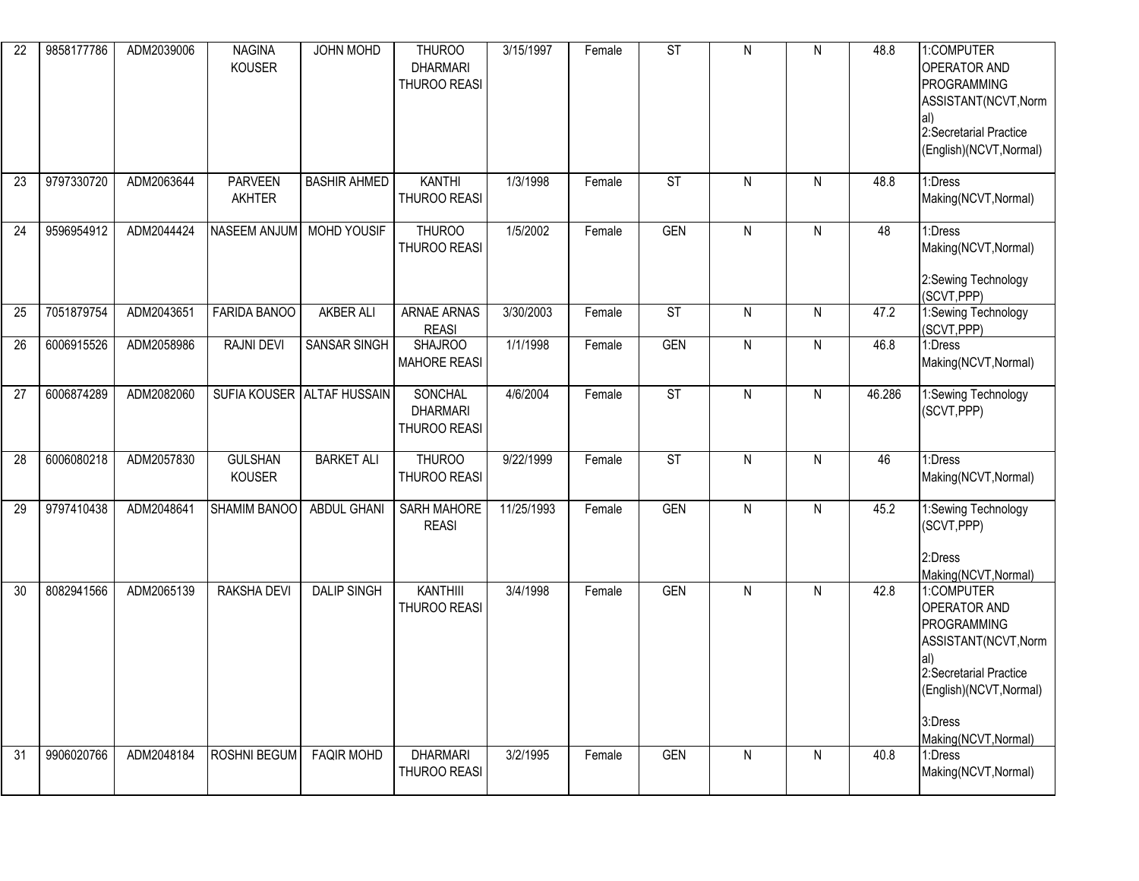| $\overline{22}$ | 9858177786 | ADM2039006 | <b>NAGINA</b><br><b>KOUSER</b>  | <b>JOHN MOHD</b>           | <b>THUROO</b><br><b>DHARMARI</b><br>THUROO REASI | 3/15/1997  | Female | ST                       | N            | ${\sf N}$ | 48.8   | 1:COMPUTER<br>OPERATOR AND<br>PROGRAMMING<br>ASSISTANT(NCVT, Norm<br>2:Secretarial Practice<br>(English)(NCVT, Normal)                                                  |
|-----------------|------------|------------|---------------------------------|----------------------------|--------------------------------------------------|------------|--------|--------------------------|--------------|-----------|--------|-------------------------------------------------------------------------------------------------------------------------------------------------------------------------|
| 23              | 9797330720 | ADM2063644 | <b>PARVEEN</b><br><b>AKHTER</b> | <b>BASHIR AHMED</b>        | <b>KANTHI</b><br>THUROO REASI                    | 1/3/1998   | Female | <b>ST</b>                | N            | N         | 48.8   | 1:Dress<br>Making(NCVT, Normal)                                                                                                                                         |
| 24              | 9596954912 | ADM2044424 | NASEEM ANJUM                    | <b>MOHD YOUSIF</b>         | <b>THUROO</b><br>THUROO REASI                    | 1/5/2002   | Female | <b>GEN</b>               | N            | N         | 48     | 1:Dress<br>Making(NCVT, Normal)<br>2:Sewing Technology<br>(SCVT, PPP)                                                                                                   |
| 25              | 7051879754 | ADM2043651 | <b>FARIDA BANOO</b>             | <b>AKBER ALI</b>           | <b>ARNAE ARNAS</b><br><b>REASI</b>               | 3/30/2003  | Female | $\overline{\mathsf{ST}}$ | N            | N         | 47.2   | 1:Sewing Technology<br>(SCVT, PPP)                                                                                                                                      |
| 26              | 6006915526 | ADM2058986 | <b>RAJNI DEVI</b>               | SANSAR SINGH               | <b>SHAJROO</b><br><b>MAHORE REASI</b>            | 1/1/1998   | Female | <b>GEN</b>               | N            | N         | 46.8   | 1:Dress<br>Making(NCVT, Normal)                                                                                                                                         |
| 27              | 6006874289 | ADM2082060 |                                 | SUFIA KOUSER ALTAF HUSSAIN | SONCHAL<br><b>DHARMARI</b><br>THUROO REASI       | 4/6/2004   | Female | $\overline{\text{ST}}$   | N            | ${\sf N}$ | 46.286 | 1:Sewing Technology<br>(SCVT, PPP)                                                                                                                                      |
| 28              | 6006080218 | ADM2057830 | <b>GULSHAN</b><br>KOUSER        | <b>BARKET ALI</b>          | <b>THUROO</b><br>THUROO REASI                    | 9/22/1999  | Female | ST                       | $\mathsf{N}$ | ${\sf N}$ | 46     | 1:Dress<br>Making(NCVT, Normal)                                                                                                                                         |
| 29              | 9797410438 | ADM2048641 | SHAMIM BANOO                    | ABDUL GHANI                | <b>SARH MAHORE</b><br><b>REASI</b>               | 11/25/1993 | Female | <b>GEN</b>               | N            | N         | 45.2   | 1:Sewing Technology<br>(SCVT, PPP)<br>2:Dress<br>Making(NCVT, Normal)                                                                                                   |
| 30              | 8082941566 | ADM2065139 | <b>RAKSHA DEVI</b>              | <b>DALIP SINGH</b>         | <b>KANTHIII</b><br>THUROO REASI                  | 3/4/1998   | Female | <b>GEN</b>               | N            | N         | 42.8   | 1:COMPUTER<br><b>OPERATOR AND</b><br>PROGRAMMING<br>ASSISTANT(NCVT, Norm<br>al)<br>2:Secretarial Practice<br>(English)(NCVT, Normal)<br>3:Dress<br>Making(NCVT, Normal) |
| 31              | 9906020766 | ADM2048184 | ROSHNI BEGUM                    | <b>FAQIR MOHD</b>          | <b>DHARMARI</b><br>THUROO REASI                  | 3/2/1995   | Female | <b>GEN</b>               | ${\sf N}$    | N         | 40.8   | 1:Dress<br>Making(NCVT, Normal)                                                                                                                                         |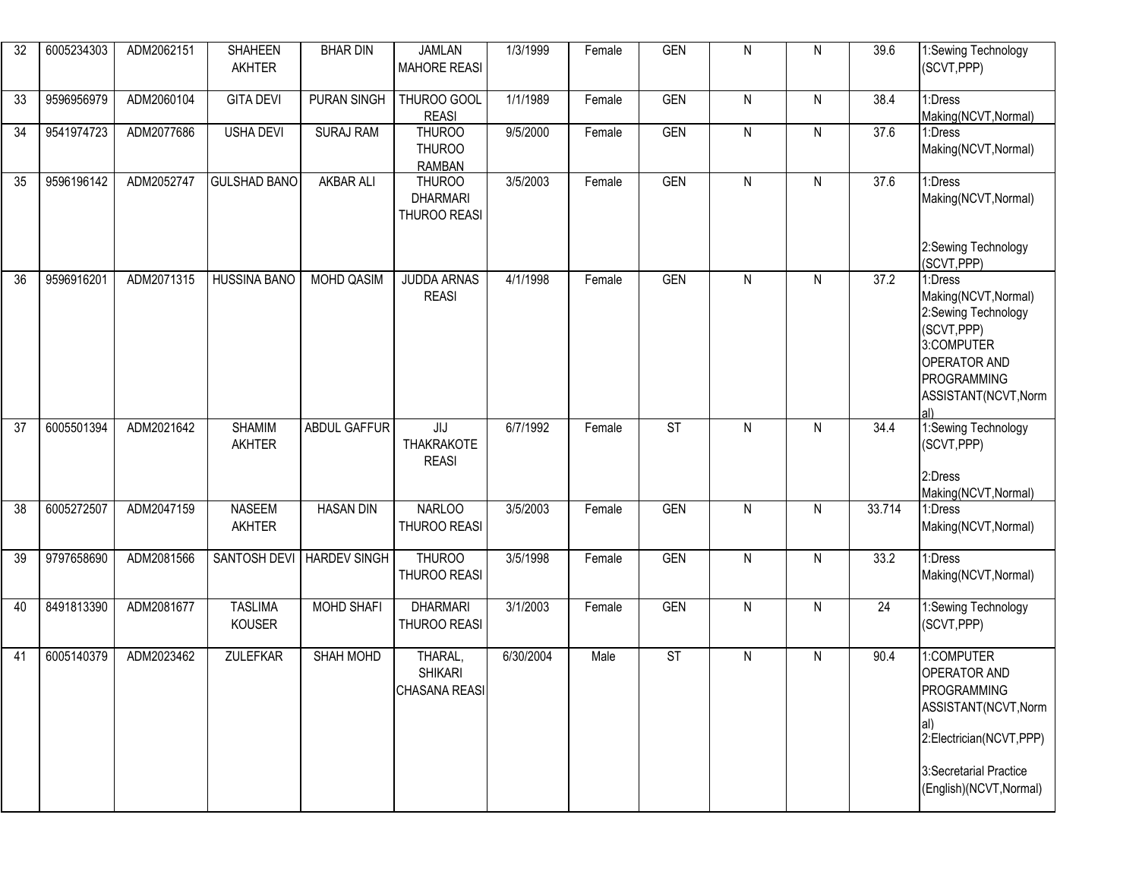| 32 | 6005234303 | ADM2062151 | <b>SHAHEEN</b><br><b>AKHTER</b> | <b>BHAR DIN</b>     | <b>JAMLAN</b><br><b>MAHORE REASI</b>             | 1/3/1999              | Female | <b>GEN</b> | N            | $\mathsf{N}$ | 39.6             | 1:Sewing Technology<br>(SCVT, PPP)                                                                                                                       |
|----|------------|------------|---------------------------------|---------------------|--------------------------------------------------|-----------------------|--------|------------|--------------|--------------|------------------|----------------------------------------------------------------------------------------------------------------------------------------------------------|
| 33 | 9596956979 | ADM2060104 | <b>GITA DEVI</b>                | PURAN SINGH         | THUROO GOOL<br><b>REASI</b>                      | 1/1/1989              | Female | GEN        | $\mathsf{N}$ | $\mathsf{N}$ | 38.4             | 1:Dress<br>Making(NCVT, Normal)                                                                                                                          |
| 34 | 9541974723 | ADM2077686 | <b>USHA DEVI</b>                | <b>SURAJ RAM</b>    | <b>THUROO</b><br><b>THUROO</b><br><b>RAMBAN</b>  | 9/5/2000              | Female | <b>GEN</b> | ${\sf N}$    | $\mathsf{N}$ | 37.6             | 1:Dress<br>Making(NCVT, Normal)                                                                                                                          |
| 35 | 9596196142 | ADM2052747 | <b>GULSHAD BANO</b>             | <b>AKBAR ALI</b>    | <b>THUROO</b><br><b>DHARMARI</b><br>THUROO REASI | 3/5/2003              | Female | <b>GEN</b> | $\mathsf{N}$ | $\mathsf{N}$ | 37.6             | 1:Dress<br>Making(NCVT, Normal)<br>2:Sewing Technology<br>(SCVT, PPP)                                                                                    |
| 36 | 9596916201 | ADM2071315 | <b>HUSSINA BANO</b>             | <b>MOHD QASIM</b>   | <b>JUDDA ARNAS</b><br><b>REASI</b>               | 4/1/1998              | Female | GEN        | $\mathsf{N}$ | N            | 37.2             | 1:Dress<br>Making(NCVT, Normal)<br>2:Sewing Technology<br>(SCVT, PPP)<br>3:COMPUTER<br><b>OPERATOR AND</b><br>PROGRAMMING<br>ASSISTANT(NCVT, Norm<br>al) |
| 37 | 6005501394 | ADM2021642 | <b>SHAMIM</b><br><b>AKHTER</b>  | <b>ABDUL GAFFUR</b> | JIJ<br><b>THAKRAKOTE</b><br><b>REASI</b>         | 6/7/1992              | Female | ST         | N            | N            | 34.4             | 1:Sewing Technology<br>(SCVT, PPP)<br>2:Dress<br>Making(NCVT, Normal)                                                                                    |
| 38 | 6005272507 | ADM2047159 | <b>NASEEM</b><br><b>AKHTER</b>  | <b>HASAN DIN</b>    | <b>NARLOO</b><br><b>THUROO REASI</b>             | 3/5/2003              | Female | <b>GEN</b> | $\mathsf{N}$ | $\mathsf{N}$ | 33.714           | 1:Dress<br>Making(NCVT, Normal)                                                                                                                          |
| 39 | 9797658690 | ADM2081566 | SANTOSH DEVI                    | <b>HARDEV SINGH</b> | <b>THUROO</b><br>THUROO REASI                    | 3/5/1998              | Female | <b>GEN</b> | $\mathsf{N}$ | $\mathsf{N}$ | $\frac{1}{33.2}$ | 1:Dress<br>Making(NCVT, Normal)                                                                                                                          |
| 40 | 8491813390 | ADM2081677 | <b>TASLIMA</b><br><b>KOUSER</b> | <b>MOHD SHAFI</b>   | <b>DHARMARI</b><br><b>THUROO REASI</b>           | $\overline{3}/1/2003$ | Female | <b>GEN</b> | $\mathsf{N}$ | $\mathsf{N}$ | 24               | 1:Sewing Technology<br>(SCVT, PPP)                                                                                                                       |
| 41 | 6005140379 | ADM2023462 | ZULEFKAR                        | SHAH MOHD           | THARAL,<br><b>SHIKARI</b><br> CHASANA REASI      | 6/30/2004             | Male   | <b>ST</b>  | N            | $\mathsf{N}$ | 90.4             | 1:COMPUTER<br>OPERATOR AND<br><b>PROGRAMMING</b><br>ASSISTANT(NCVT, Norm<br>2:Electrician(NCVT,PPP)<br>3:Secretarial Practice<br>(English)(NCVT, Normal) |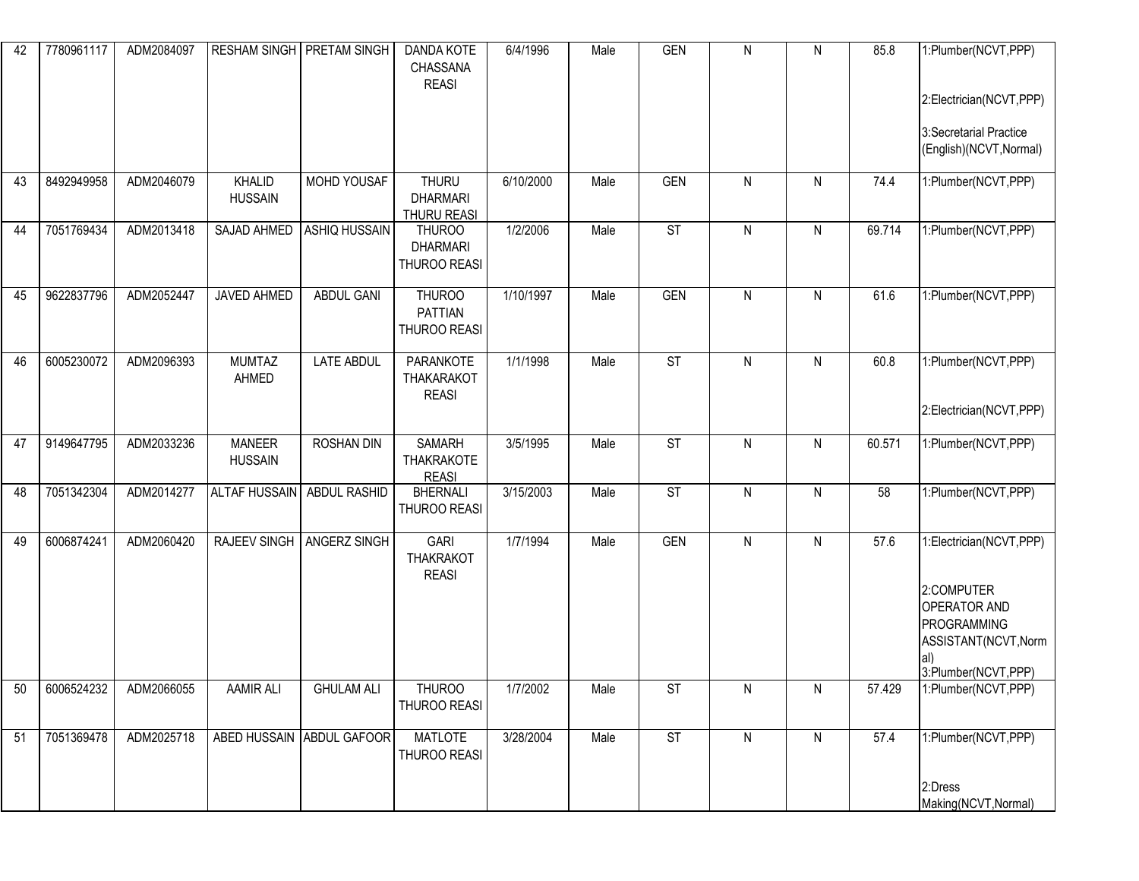| 42 | 7780961117 | ADM2084097 |                                 | RESHAM SINGH   PRETAM SINGH | <b>DANDA KOTE</b><br>CHASSANA<br><b>REASI</b>         | 6/4/1996  | Male | <b>GEN</b>               | ${\sf N}$    | N         | 85.8   | 1:Plumber(NCVT,PPP)<br>2:Electrician(NCVT,PPP)<br>3:Secretarial Practice<br>(English)(NCVT, Normal)                               |
|----|------------|------------|---------------------------------|-----------------------------|-------------------------------------------------------|-----------|------|--------------------------|--------------|-----------|--------|-----------------------------------------------------------------------------------------------------------------------------------|
| 43 | 8492949958 | ADM2046079 | KHALID<br><b>HUSSAIN</b>        | MOHD YOUSAF                 | <b>THURU</b><br><b>DHARMARI</b><br><b>THURU REASI</b> | 6/10/2000 | Male | <b>GEN</b>               | $\mathsf{N}$ | N         | 74.4   | 1:Plumber(NCVT,PPP)                                                                                                               |
| 44 | 7051769434 | ADM2013418 | SAJAD AHMED                     | <b>ASHIQ HUSSAIN</b>        | <b>THUROO</b><br><b>DHARMARI</b><br>THUROO REASI      | 1/2/2006  | Male | $\overline{\text{ST}}$   | N            | N         | 69.714 | 1:Plumber(NCVT,PPP)                                                                                                               |
| 45 | 9622837796 | ADM2052447 | JAVED AHMED                     | <b>ABDUL GANI</b>           | <b>THUROO</b><br><b>PATTIAN</b><br>THUROO REASI       | 1/10/1997 | Male | <b>GEN</b>               | N            | N         | 61.6   | 1:Plumber(NCVT,PPP)                                                                                                               |
| 46 | 6005230072 | ADM2096393 | <b>MUMTAZ</b><br>AHMED          | <b>LATE ABDUL</b>           | PARANKOTE<br><b>THAKARAKOT</b><br><b>REASI</b>        | 1/1/1998  | Male | $\overline{\mathsf{ST}}$ | $\mathsf{N}$ | N         | 60.8   | 1:Plumber(NCVT,PPP)<br>2:Electrician(NCVT,PPP)                                                                                    |
| 47 | 9149647795 | ADM2033236 | <b>MANEER</b><br><b>HUSSAIN</b> | <b>ROSHAN DIN</b>           | <b>SAMARH</b><br><b>THAKRAKOTE</b><br><b>REASI</b>    | 3/5/1995  | Male | <b>ST</b>                | ${\sf N}$    | ${\sf N}$ | 60.571 | 1:Plumber(NCVT,PPP)                                                                                                               |
| 48 | 7051342304 | ADM2014277 | ALTAF HUSSAIN   ABDUL RASHID    |                             | <b>BHERNALI</b><br>THUROO REASI                       | 3/15/2003 | Male | <b>ST</b>                | $\mathsf{N}$ | N         | 58     | 1:Plumber(NCVT, PPP)                                                                                                              |
| 49 | 6006874241 | ADM2060420 |                                 | RAJEEV SINGH   ANGERZ SINGH | <b>GARI</b><br><b>THAKRAKOT</b><br><b>REASI</b>       | 1/7/1994  | Male | <b>GEN</b>               | N            | N         | 57.6   | 1:Electrician(NCVT,PPP)<br>2:COMPUTER<br><b>OPERATOR AND</b><br>PROGRAMMING<br>ASSISTANT(NCVT, Norm<br>al)<br>3:Plumber(NCVT,PPP) |
| 50 | 6006524232 | ADM2066055 | AAMIR ALI                       | <b>GHULAM ALI</b>           | <b>THUROO</b><br>THUROO REASI                         | 1/7/2002  | Male | <b>ST</b>                | N            | N         | 57.429 | 1:Plumber(NCVT,PPP)                                                                                                               |
| 51 | 7051369478 | ADM2025718 |                                 | ABED HUSSAIN ABDUL GAFOOR   | <b>MATLOTE</b><br>THUROO REASI                        | 3/28/2004 | Male | <b>ST</b>                | $\mathsf{N}$ | N         | 57.4   | 1:Plumber(NCVT,PPP)<br>2:Dress<br>Making(NCVT, Normal)                                                                            |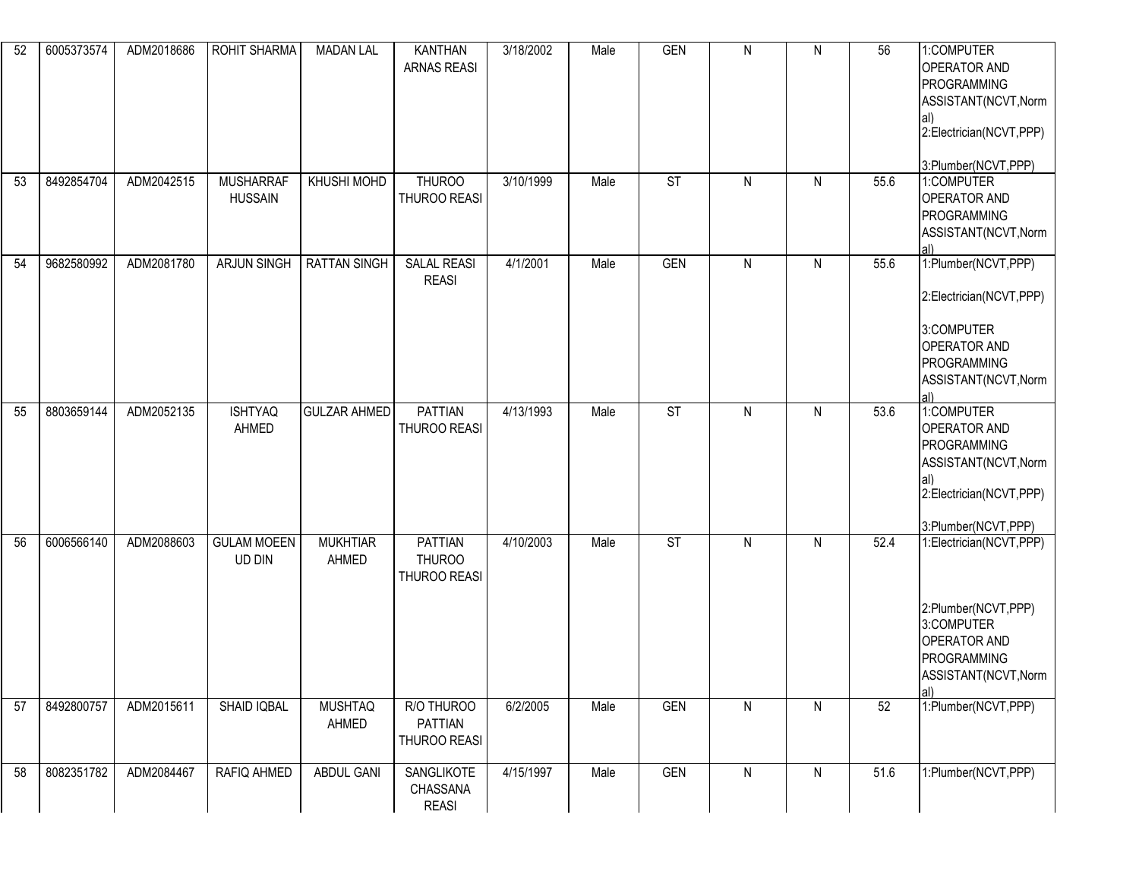| 52 | 6005373574 | ADM2018686 | <b>ROHIT SHARMA</b>                | <b>MADAN LAL</b>         | <b>KANTHAN</b><br><b>ARNAS REASI</b>            | 3/18/2002 | Male | <b>GEN</b>               | ${\sf N}$    | ${\sf N}$    | 56   | 1:COMPUTER<br><b>OPERATOR AND</b><br>PROGRAMMING<br>ASSISTANT(NCVT, Norm<br>al)<br>2:Electrician(NCVT,PPP)<br>3:Plumber(NCVT,PPP) |
|----|------------|------------|------------------------------------|--------------------------|-------------------------------------------------|-----------|------|--------------------------|--------------|--------------|------|-----------------------------------------------------------------------------------------------------------------------------------|
| 53 | 8492854704 | ADM2042515 | <b>MUSHARRAF</b><br><b>HUSSAIN</b> | KHUSHI MOHD              | <b>THUROO</b><br>THUROO REASI                   | 3/10/1999 | Male | <b>ST</b>                | $\mathsf{N}$ | $\mathsf{N}$ | 55.6 | 1:COMPUTER<br><b>OPERATOR AND</b><br>PROGRAMMING<br>ASSISTANT(NCVT, Norm<br>al)                                                   |
| 54 | 9682580992 | ADM2081780 | <b>ARJUN SINGH</b>                 | <b>RATTAN SINGH</b>      | <b>SALAL REASI</b><br><b>REASI</b>              | 4/1/2001  | Male | GEN                      | $\mathsf{N}$ | N            | 55.6 | 1:Plumber(NCVT,PPP)<br>2:Electrician(NCVT,PPP)<br>3:COMPUTER<br><b>OPERATOR AND</b><br>PROGRAMMING<br>ASSISTANT(NCVT, Norm<br>al) |
| 55 | 8803659144 | ADM2052135 | <b>ISHTYAQ</b><br>AHMED            | <b>GULZAR AHMED</b>      | <b>PATTIAN</b><br>THUROO REASI                  | 4/13/1993 | Male | $\overline{\mathsf{ST}}$ | $\mathsf{N}$ | $\mathsf{N}$ | 53.6 | 1:COMPUTER<br><b>OPERATOR AND</b><br>PROGRAMMING<br>ASSISTANT(NCVT, Norm<br>2:Electrician(NCVT,PPP)<br>3:Plumber(NCVT,PPP)        |
| 56 | 6006566140 | ADM2088603 | <b>GULAM MOEEN</b><br>UD DIN       | <b>MUKHTIAR</b><br>AHMED | <b>PATTIAN</b><br><b>THUROO</b><br>THUROO REASI | 4/10/2003 | Male | <b>ST</b>                | N            | N            | 52.4 | 1:Electrician(NCVT,PPP)<br>2:Plumber(NCVT,PPP)<br>3:COMPUTER<br><b>OPERATOR AND</b><br>PROGRAMMING<br>ASSISTANT(NCVT, Norm<br>al) |
| 57 | 8492800757 | ADM2015611 | SHAID IQBAL                        | <b>MUSHTAQ</b><br>AHMED  | R/O THUROO<br>PATTIAN<br>THUROO REASI           | 6/2/2005  | Male | <b>GEN</b>               | ${\sf N}$    | N            | 52   | 1:Plumber(NCVT,PPP)                                                                                                               |
| 58 | 8082351782 | ADM2084467 | RAFIQ AHMED                        | ABDUL GANI               | <b>SANGLIKOTE</b><br>CHASSANA<br><b>REASI</b>   | 4/15/1997 | Male | <b>GEN</b>               | ${\sf N}$    | N            | 51.6 | 1:Plumber(NCVT,PPP)                                                                                                               |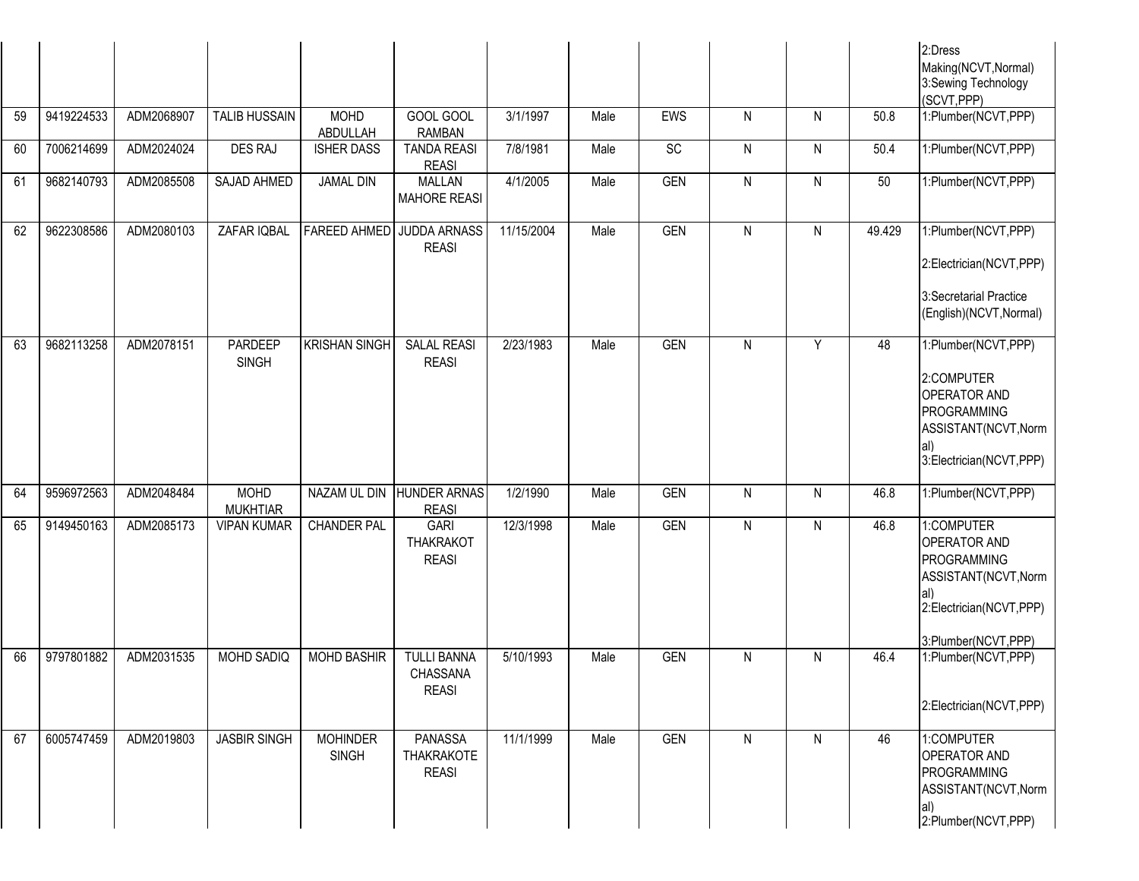|    |            |            |                                |                                 |                                                 |            |      |            |              |           |        | 2:Dress<br>Making(NCVT, Normal)<br>3:Sewing Technology<br>(SCVT, PPP)                                                             |
|----|------------|------------|--------------------------------|---------------------------------|-------------------------------------------------|------------|------|------------|--------------|-----------|--------|-----------------------------------------------------------------------------------------------------------------------------------|
| 59 | 9419224533 | ADM2068907 | <b>TALIB HUSSAIN</b>           | <b>MOHD</b><br>ABDULLAH         | GOOL GOOL<br><b>RAMBAN</b>                      | 3/1/1997   | Male | EWS        | N            | ${\sf N}$ | 50.8   | 1:Plumber(NCVT,PPP)                                                                                                               |
| 60 | 7006214699 | ADM2024024 | <b>DES RAJ</b>                 | <b>ISHER DASS</b>               | <b>TANDA REASI</b><br><b>REASI</b>              | 7/8/1981   | Male | SC         | $\mathsf{N}$ | N         | 50.4   | 1:Plumber(NCVT,PPP)                                                                                                               |
| 61 | 9682140793 | ADM2085508 | SAJAD AHMED                    | <b>JAMAL DIN</b>                | <b>MALLAN</b><br><b>MAHORE REASI</b>            | 4/1/2005   | Male | <b>GEN</b> | $\mathsf{N}$ | ${\sf N}$ | 50     | 1:Plumber(NCVT,PPP)                                                                                                               |
| 62 | 9622308586 | ADM2080103 | ZAFAR IQBAL                    |                                 | FAREED AHMED JUDDA ARNASS<br><b>REASI</b>       | 11/15/2004 | Male | <b>GEN</b> | N            | N         | 49.429 | 1:Plumber(NCVT,PPP)<br>2:Electrician(NCVT,PPP)<br>3:Secretarial Practice<br>(English)(NCVT, Normal)                               |
| 63 | 9682113258 | ADM2078151 | PARDEEP<br><b>SINGH</b>        | <b>KRISHAN SINGH</b>            | <b>SALAL REASI</b><br><b>REASI</b>              | 2/23/1983  | Male | <b>GEN</b> | N            | Y         | 48     | 1:Plumber(NCVT,PPP)<br>2:COMPUTER<br><b>OPERATOR AND</b><br>PROGRAMMING<br>ASSISTANT(NCVT, Norm<br>3:Electrician(NCVT,PPP)        |
| 64 | 9596972563 | ADM2048484 | <b>MOHD</b><br><b>MUKHTIAR</b> | NAZAM UL DIN                    | <b>HUNDER ARNAS</b><br><b>REASI</b>             | 1/2/1990   | Male | <b>GEN</b> | N            | N         | 46.8   | 1:Plumber(NCVT,PPP)                                                                                                               |
| 65 | 9149450163 | ADM2085173 | <b>VIPAN KUMAR</b>             | <b>CHANDER PAL</b>              | <b>GARI</b><br><b>THAKRAKOT</b><br><b>REASI</b> | 12/3/1998  | Male | <b>GEN</b> | N            | N         | 46.8   | 1:COMPUTER<br><b>OPERATOR AND</b><br>PROGRAMMING<br>ASSISTANT(NCVT, Norm<br>al)<br>2:Electrician(NCVT,PPP)<br>3:Plumber(NCVT,PPP) |
| 66 | 9797801882 | ADM2031535 | <b>MOHD SADIQ</b>              | <b>MOHD BASHIR</b>              | <b>TULLI BANNA</b><br>CHASSANA<br><b>REASI</b>  | 5/10/1993  | Male | <b>GEN</b> | N            | N         | 46.4   | 1:Plumber(NCVT,PPP)<br>2:Electrician(NCVT,PPP)                                                                                    |
| 67 | 6005747459 | ADM2019803 | <b>JASBIR SINGH</b>            | <b>MOHINDER</b><br><b>SINGH</b> | PANASSA<br><b>THAKRAKOTE</b><br><b>REASI</b>    | 11/1/1999  | Male | <b>GEN</b> | $\mathsf{N}$ | N         | 46     | 1:COMPUTER<br>OPERATOR AND<br>PROGRAMMING<br>ASSISTANT(NCVT, Norm<br>al)<br>2:Plumber(NCVT,PPP)                                   |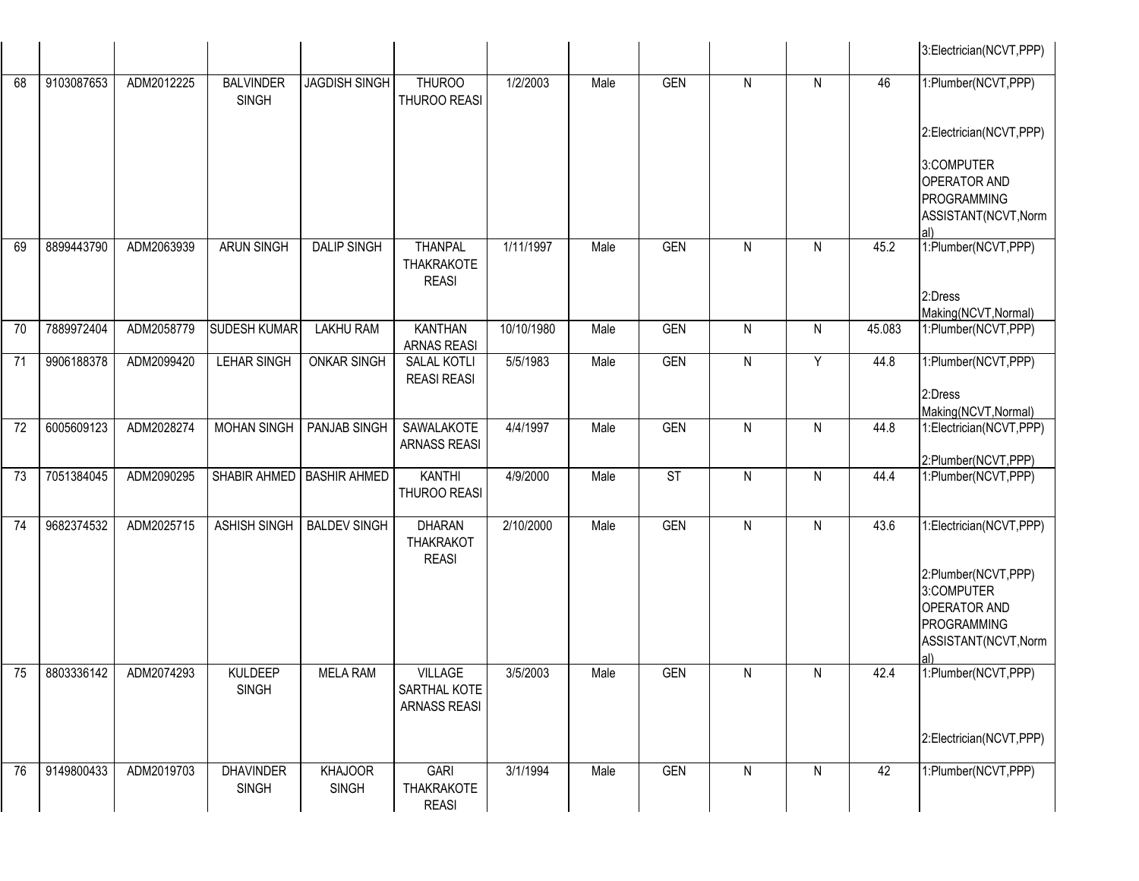|    |            |            |                                  |                                |                                                       |            |      |            |              |   |        | 3:Electrician(NCVT,PPP)                                           |
|----|------------|------------|----------------------------------|--------------------------------|-------------------------------------------------------|------------|------|------------|--------------|---|--------|-------------------------------------------------------------------|
| 68 | 9103087653 | ADM2012225 | <b>BALVINDER</b><br><b>SINGH</b> | <b>JAGDISH SINGH</b>           | <b>THUROO</b><br>THUROO REASI                         | 1/2/2003   | Male | <b>GEN</b> | N            | N | 46     | 1:Plumber(NCVT,PPP)                                               |
|    |            |            |                                  |                                |                                                       |            |      |            |              |   |        | 2:Electrician(NCVT,PPP)                                           |
|    |            |            |                                  |                                |                                                       |            |      |            |              |   |        | 3:COMPUTER<br>OPERATOR AND<br>PROGRAMMING<br>ASSISTANT(NCVT, Norm |
|    |            |            |                                  |                                |                                                       |            |      |            |              |   |        | al)                                                               |
| 69 | 8899443790 | ADM2063939 | <b>ARUN SINGH</b>                | <b>DALIP SINGH</b>             | <b>THANPAL</b><br>THAKRAKOTE<br><b>REASI</b>          | 1/11/1997  | Male | <b>GEN</b> | N            | N | 45.2   | 1:Plumber(NCVT,PPP)                                               |
|    |            |            |                                  |                                |                                                       |            |      |            |              |   |        | 2:Dress                                                           |
| 70 | 7889972404 | ADM2058779 | <b>SUDESH KUMAR</b>              | <b>LAKHU RAM</b>               | <b>KANTHAN</b>                                        | 10/10/1980 | Male | <b>GEN</b> | N            | N | 45.083 | Making(NCVT, Normal)<br>1:Plumber(NCVT,PPP)                       |
|    |            |            |                                  |                                | <b>ARNAS REASI</b>                                    |            |      |            |              |   |        |                                                                   |
| 71 | 9906188378 | ADM2099420 | <b>LEHAR SINGH</b>               | <b>ONKAR SINGH</b>             | SALAL KOTLI<br><b>REASI REASI</b>                     | 5/5/1983   | Male | <b>GEN</b> | N            | Y | 44.8   | 1:Plumber(NCVT,PPP)                                               |
|    |            |            |                                  |                                |                                                       |            |      |            |              |   |        | 2:Dress<br>Making(NCVT, Normal)                                   |
| 72 | 6005609123 | ADM2028274 | <b>MOHAN SINGH</b>               | PANJAB SINGH                   | SAWALAKOTE<br><b>ARNASS REASI</b>                     | 4/4/1997   | Male | <b>GEN</b> | $\mathsf{N}$ | N | 44.8   | 1:Electrician(NCVT,PPP)                                           |
| 73 | 7051384045 | ADM2090295 | SHABIR AHMED                     | <b>BASHIR AHMED</b>            | <b>KANTHI</b>                                         | 4/9/2000   | Male | ST         | N            | N | 44.4   | 2:Plumber(NCVT,PPP)<br>1:Plumber(NCVT,PPP)                        |
|    |            |            |                                  |                                | THUROO REASI                                          |            |      |            |              |   |        |                                                                   |
| 74 | 9682374532 | ADM2025715 | <b>ASHISH SINGH</b>              | <b>BALDEV SINGH</b>            | <b>DHARAN</b><br><b>THAKRAKOT</b><br><b>REASI</b>     | 2/10/2000  | Male | <b>GEN</b> | N            | N | 43.6   | 1:Electrician(NCVT,PPP)                                           |
|    |            |            |                                  |                                |                                                       |            |      |            |              |   |        | 2:Plumber(NCVT,PPP)<br>3:COMPUTER<br><b>OPERATOR AND</b>          |
|    |            |            |                                  |                                |                                                       |            |      |            |              |   |        | PROGRAMMING<br>ASSISTANT(NCVT, Norm                               |
|    |            |            |                                  |                                |                                                       |            |      |            |              |   |        | al)                                                               |
| 75 | 8803336142 | ADM2074293 | <b>KULDEEP</b><br><b>SINGH</b>   | <b>MELA RAM</b>                | <b>VILLAGE</b><br>SARTHAL KOTE<br><b>ARNASS REASI</b> | 3/5/2003   | Male | GEN        | N            | N | 42.4   | 1:Plumber(NCVT,PPP)                                               |
|    |            |            |                                  |                                |                                                       |            |      |            |              |   |        | 2:Electrician(NCVT,PPP)                                           |
| 76 | 9149800433 | ADM2019703 | <b>DHAVINDER</b><br><b>SINGH</b> | <b>KHAJOOR</b><br><b>SINGH</b> | <b>GARI</b><br>THAKRAKOTE<br><b>REASI</b>             | 3/1/1994   | Male | <b>GEN</b> | ${\sf N}$    | N | 42     | 1:Plumber(NCVT,PPP)                                               |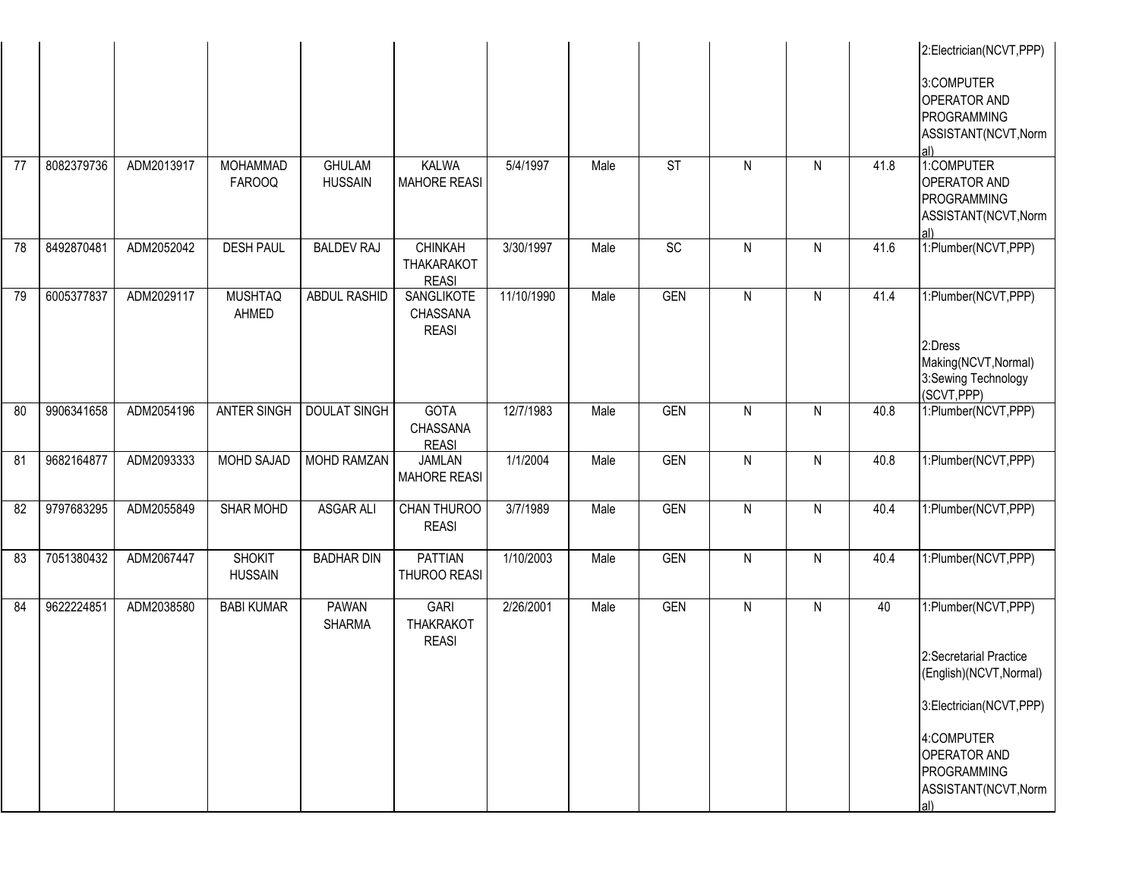| 77 | 8082379736 | ADM2013917 | <b>MOHAMMAD</b>                 | <b>GHULAM</b>                 | <b>KALWA</b>                                        | 5/4/1997   | Male | <b>ST</b>  | N            | N | 41.8 | 2:Electrician(NCVT,PPP)<br>3:COMPUTER<br><b>OPERATOR AND</b><br>PROGRAMMING<br>ASSISTANT(NCVT, Norm<br>1:COMPUTER                                                                      |
|----|------------|------------|---------------------------------|-------------------------------|-----------------------------------------------------|------------|------|------------|--------------|---|------|----------------------------------------------------------------------------------------------------------------------------------------------------------------------------------------|
|    |            |            | <b>FAROOQ</b>                   | <b>HUSSAIN</b>                | <b>MAHORE REASI</b>                                 |            |      |            |              |   |      | <b>OPERATOR AND</b><br>PROGRAMMING<br>ASSISTANT(NCVT, Norm<br>al)                                                                                                                      |
| 78 | 8492870481 | ADM2052042 | <b>DESH PAUL</b>                | <b>BALDEV RAJ</b>             | <b>CHINKAH</b><br><b>THAKARAKOT</b><br><b>REASI</b> | 3/30/1997  | Male | SC         | N            | N | 41.6 | 1:Plumber(NCVT,PPP)                                                                                                                                                                    |
| 79 | 6005377837 | ADM2029117 | <b>MUSHTAQ</b><br>AHMED         | ABDUL RASHID                  | SANGLIKOTE<br>CHASSANA<br><b>REASI</b>              | 11/10/1990 | Male | <b>GEN</b> | N            | N | 41.4 | 1:Plumber(NCVT,PPP)<br>2:Dress<br>Making(NCVT, Normal)<br>3:Sewing Technology<br>(SCVT, PPP)                                                                                           |
| 80 | 9906341658 | ADM2054196 | <b>ANTER SINGH</b>              | <b>DOULAT SINGH</b>           | <b>GOTA</b><br>CHASSANA<br><b>REASI</b>             | 12/7/1983  | Male | <b>GEN</b> | ${\sf N}$    | N | 40.8 | 1:Plumber(NCVT,PPP)                                                                                                                                                                    |
| 81 | 9682164877 | ADM2093333 | MOHD SAJAD                      | MOHD RAMZAN                   | <b>JAMLAN</b><br><b>MAHORE REASI</b>                | 1/1/2004   | Male | <b>GEN</b> | $\mathsf{N}$ | N | 40.8 | 1:Plumber(NCVT,PPP)                                                                                                                                                                    |
| 82 | 9797683295 | ADM2055849 | <b>SHAR MOHD</b>                | <b>ASGAR ALI</b>              | CHAN THUROO<br><b>REASI</b>                         | 3/7/1989   | Male | <b>GEN</b> | $\mathsf{N}$ | N | 40.4 | 1:Plumber(NCVT,PPP)                                                                                                                                                                    |
| 83 | 7051380432 | ADM2067447 | <b>SHOKIT</b><br><b>HUSSAIN</b> | <b>BADHAR DIN</b>             | <b>PATTIAN</b><br>THUROO REASI                      | 1/10/2003  | Male | <b>GEN</b> | N            | N | 40.4 | 1:Plumber(NCVT,PPP)                                                                                                                                                                    |
| 84 | 9622224851 | ADM2038580 | <b>BABI KUMAR</b>               | <b>PAWAN</b><br><b>SHARMA</b> | <b>GARI</b><br><b>THAKRAKOT</b><br><b>REASI</b>     | 2/26/2001  | Male | <b>GEN</b> | $\mathsf{N}$ | N | 40   | 1:Plumber(NCVT,PPP)<br>2:Secretarial Practice<br>(English)(NCVT, Normal)<br>3:Electrician(NCVT,PPP)<br>4:COMPUTER<br><b>OPERATOR AND</b><br>PROGRAMMING<br>ASSISTANT(NCVT, Norm<br>al) |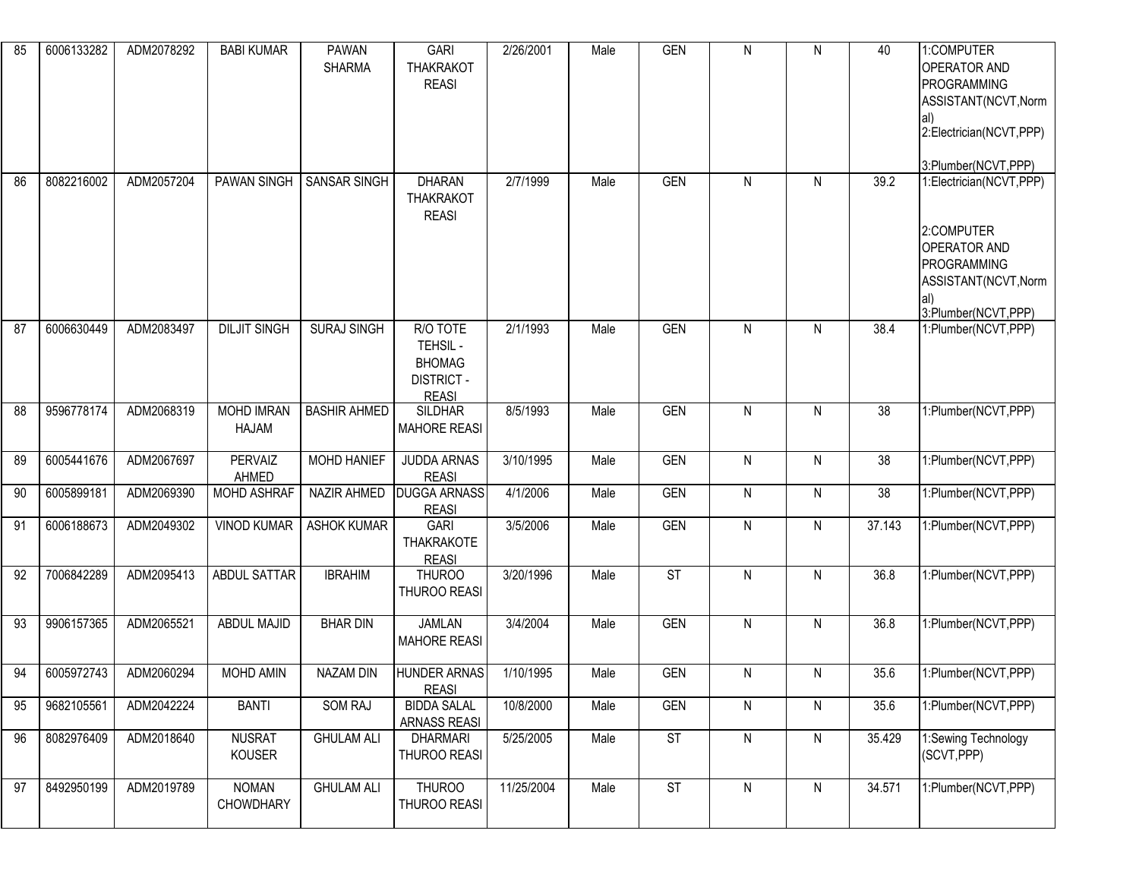| 85 | 6006133282 | ADM2078292 | <b>BABI KUMAR</b>          | <b>PAWAN</b><br><b>SHARMA</b> | <b>GARI</b><br><b>THAKRAKOT</b><br><b>REASI</b>                            | 2/26/2001  | Male | <b>GEN</b> | N            | N            | 40     | 1:COMPUTER<br><b>OPERATOR AND</b><br>PROGRAMMING<br>ASSISTANT(NCVT, Norm<br>lal)<br>2:Electrician(NCVT,PPP)<br>3:Plumber(NCVT,PPP) |
|----|------------|------------|----------------------------|-------------------------------|----------------------------------------------------------------------------|------------|------|------------|--------------|--------------|--------|------------------------------------------------------------------------------------------------------------------------------------|
| 86 | 8082216002 | ADM2057204 | <b>PAWAN SINGH</b>         | SANSAR SINGH                  | <b>DHARAN</b><br><b>THAKRAKOT</b><br><b>REASI</b>                          | 2/7/1999   | Male | <b>GEN</b> | N            | N            | 39.2   | 1:Electrician(NCVT,PPP)<br>2:COMPUTER<br><b>OPERATOR AND</b><br>PROGRAMMING<br>ASSISTANT(NCVT, Norm<br>al)<br>3:Plumber(NCVT,PPP)  |
| 87 | 6006630449 | ADM2083497 | <b>DILJIT SINGH</b>        | <b>SURAJ SINGH</b>            | R/O TOTE<br>TEHSIL -<br><b>BHOMAG</b><br><b>DISTRICT -</b><br><b>REASI</b> | 2/1/1993   | Male | <b>GEN</b> | $\mathsf{N}$ | N            | 38.4   | 1:Plumber(NCVT,PPP)                                                                                                                |
| 88 | 9596778174 | ADM2068319 | <b>MOHD IMRAN</b><br>HAJAM | <b>BASHIR AHMED</b>           | <b>SILDHAR</b><br><b>MAHORE REASI</b>                                      | 8/5/1993   | Male | <b>GEN</b> | $\mathsf{N}$ | N            | 38     | 1:Plumber(NCVT,PPP)                                                                                                                |
| 89 | 6005441676 | ADM2067697 | <b>PERVAIZ</b><br>AHMED    | MOHD HANIEF                   | <b>JUDDA ARNAS</b><br><b>REASI</b>                                         | 3/10/1995  | Male | <b>GEN</b> | $\mathsf{N}$ | $\mathsf{N}$ | 38     | 1:Plumber(NCVT,PPP)                                                                                                                |
| 90 | 6005899181 | ADM2069390 | MOHD ASHRAF                | NAZIR AHMED                   | <b>DUGGA ARNASS</b><br><b>REASI</b>                                        | 4/1/2006   | Male | <b>GEN</b> | $\mathsf{N}$ | $\mathsf{N}$ | 38     | 1:Plumber(NCVT,PPP)                                                                                                                |
| 91 | 6006188673 | ADM2049302 | <b>VINOD KUMAR</b>         | <b>ASHOK KUMAR</b>            | <b>GARI</b><br><b>THAKRAKOTE</b><br><b>REASI</b>                           | 3/5/2006   | Male | <b>GEN</b> | $\mathsf{N}$ | N            | 37.143 | 1:Plumber(NCVT,PPP)                                                                                                                |
| 92 | 7006842289 | ADM2095413 | <b>ABDUL SATTAR</b>        | <b>IBRAHIM</b>                | <b>THUROO</b><br>THUROO REASI                                              | 3/20/1996  | Male | <b>ST</b>  | N            | N            | 36.8   | 1:Plumber(NCVT,PPP)                                                                                                                |
| 93 | 9906157365 | ADM2065521 | <b>ABDUL MAJID</b>         | <b>BHAR DIN</b>               | <b>JAMLAN</b><br><b>MAHORE REASI</b>                                       | 3/4/2004   | Male | <b>GEN</b> | $\mathsf{N}$ | N            | 36.8   | 1:Plumber(NCVT,PPP)                                                                                                                |
| 94 | 6005972743 | ADM2060294 | MOHD AMIN                  | <b>NAZAM DIN</b>              | <b>HUNDER ARNAS</b><br>REASI                                               | 1/10/1995  | Male | <b>GEN</b> | N            | N            | 35.6   | 1:Plumber(NCVT,PPP)                                                                                                                |
| 95 | 9682105561 | ADM2042224 | <b>BANTI</b>               | SOM RAJ                       | <b>BIDDA SALAL</b><br>ARNASS REASI                                         | 10/8/2000  | Male | <b>GEN</b> | $\mathsf{N}$ | N            | 35.6   | 1:Plumber(NCVT,PPP)                                                                                                                |
| 96 | 8082976409 | ADM2018640 | <b>NUSRAT</b><br>KOUSER    | <b>GHULAM ALI</b>             | <b>DHARMARI</b><br>THUROO REASI                                            | 5/25/2005  | Male | ST         | $\mathsf{N}$ | N            | 35.429 | 1:Sewing Technology<br>(SCVT, PPP)                                                                                                 |
| 97 | 8492950199 | ADM2019789 | <b>NOMAN</b><br>CHOWDHARY  | <b>GHULAM ALI</b>             | <b>THUROO</b><br>THUROO REASI                                              | 11/25/2004 | Male | ST         | $\mathsf{N}$ | $\mathsf{N}$ | 34.571 | 1:Plumber(NCVT,PPP)                                                                                                                |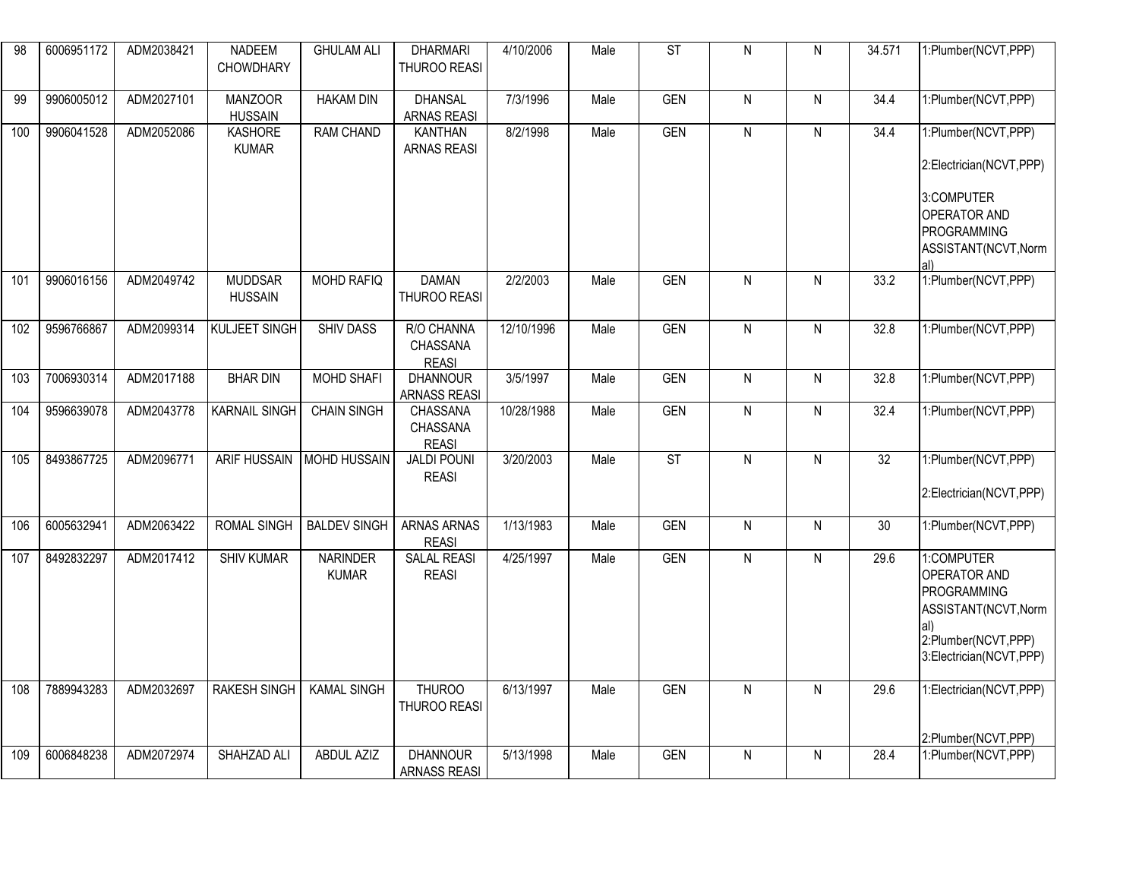| 98  | 6006951172 | ADM2038421 | <b>NADEEM</b>                    | <b>GHULAM ALI</b>               | <b>DHARMARI</b>                        | 4/10/2006  | Male | $\overline{\text{ST}}$ | $\mathsf{N}$ | $\mathsf{N}$ | 34.571 | 1:Plumber(NCVT,PPP)                                                                                                                |
|-----|------------|------------|----------------------------------|---------------------------------|----------------------------------------|------------|------|------------------------|--------------|--------------|--------|------------------------------------------------------------------------------------------------------------------------------------|
|     |            |            | <b>CHOWDHARY</b>                 |                                 | THUROO REASI                           |            |      |                        |              |              |        |                                                                                                                                    |
| 99  | 9906005012 | ADM2027101 | <b>MANZOOR</b><br><b>HUSSAIN</b> | <b>HAKAM DIN</b>                | <b>DHANSAL</b><br><b>ARNAS REASI</b>   | 7/3/1996   | Male | <b>GEN</b>             | $\mathsf{N}$ | $\mathsf{N}$ | 34.4   | 1:Plumber(NCVT,PPP)                                                                                                                |
| 100 | 9906041528 | ADM2052086 | <b>KASHORE</b><br><b>KUMAR</b>   | <b>RAM CHAND</b>                | <b>KANTHAN</b><br><b>ARNAS REASI</b>   | 8/2/1998   | Male | <b>GEN</b>             | $\mathsf{N}$ | N            | 34.4   | 1:Plumber(NCVT,PPP)<br>2:Electrician(NCVT,PPP)<br>3:COMPUTER<br><b>OPERATOR AND</b><br>PROGRAMMING<br>ASSISTANT(NCVT, Norm         |
| 101 | 9906016156 | ADM2049742 | <b>MUDDSAR</b><br><b>HUSSAIN</b> | MOHD RAFIQ                      | <b>DAMAN</b><br>THUROO REASI           | 2/2/2003   | Male | <b>GEN</b>             | $\mathsf{N}$ | $\mathsf{N}$ | 33.2   | 1:Plumber(NCVT, PPP)                                                                                                               |
| 102 | 9596766867 | ADM2099314 | <b>KULJEET SINGH</b>             | <b>SHIV DASS</b>                | R/O CHANNA<br>CHASSANA<br><b>REASI</b> | 12/10/1996 | Male | <b>GEN</b>             | $\mathsf{N}$ | $\mathsf{N}$ | 32.8   | 1:Plumber(NCVT,PPP)                                                                                                                |
| 103 | 7006930314 | ADM2017188 | <b>BHAR DIN</b>                  | MOHD SHAFI                      | <b>DHANNOUR</b><br><b>ARNASS REASI</b> | 3/5/1997   | Male | <b>GEN</b>             | $\mathsf{N}$ | ${\sf N}$    | 32.8   | 1:Plumber(NCVT,PPP)                                                                                                                |
| 104 | 9596639078 | ADM2043778 | <b>KARNAIL SINGH</b>             | <b>CHAIN SINGH</b>              | CHASSANA<br>CHASSANA<br><b>REASI</b>   | 10/28/1988 | Male | <b>GEN</b>             | $\mathsf{N}$ | $\mathsf{N}$ | 32.4   | 1:Plumber(NCVT,PPP)                                                                                                                |
| 105 | 8493867725 | ADM2096771 | <b>ARIF HUSSAIN</b>              | <b>MOHD HUSSAIN</b>             | <b>JALDI POUNI</b><br><b>REASI</b>     | 3/20/2003  | Male | $\overline{\text{ST}}$ | $\mathsf{N}$ | $\mathsf{N}$ | 32     | 1:Plumber(NCVT,PPP)<br>2:Electrician(NCVT,PPP)                                                                                     |
| 106 | 6005632941 | ADM2063422 | ROMAL SINGH                      | <b>BALDEV SINGH</b>             | ARNAS ARNAS<br><b>REASI</b>            | 1/13/1983  | Male | <b>GEN</b>             | $\mathsf{N}$ | $\mathsf{N}$ | 30     | 1:Plumber(NCVT,PPP)                                                                                                                |
| 107 | 8492832297 | ADM2017412 | <b>SHIV KUMAR</b>                | <b>NARINDER</b><br><b>KUMAR</b> | <b>SALAL REASI</b><br><b>REASI</b>     | 4/25/1997  | Male | <b>GEN</b>             | $\mathsf{N}$ | $\mathsf{N}$ | 29.6   | 1:COMPUTER<br><b>OPERATOR AND</b><br>PROGRAMMING<br>ASSISTANT(NCVT, Norm<br>lal)<br>2:Plumber(NCVT,PPP)<br>3:Electrician(NCVT,PPP) |
| 108 | 7889943283 | ADM2032697 | <b>RAKESH SINGH</b>              | <b>KAMAL SINGH</b>              | <b>THUROO</b><br>THUROO REASI          | 6/13/1997  | Male | <b>GEN</b>             | $\mathsf{N}$ | ${\sf N}$    | 29.6   | 1:Electrician(NCVT,PPP)                                                                                                            |
|     |            |            |                                  |                                 |                                        |            |      |                        |              |              |        | 2:Plumber(NCVT,PPP)                                                                                                                |
| 109 | 6006848238 | ADM2072974 | SHAHZAD ALI                      | <b>ABDUL AZIZ</b>               | <b>DHANNOUR</b><br>ARNASS REASI        | 5/13/1998  | Male | <b>GEN</b>             | $\mathsf{N}$ | $\mathsf{N}$ | 28.4   | 1:Plumber(NCVT,PPP)                                                                                                                |